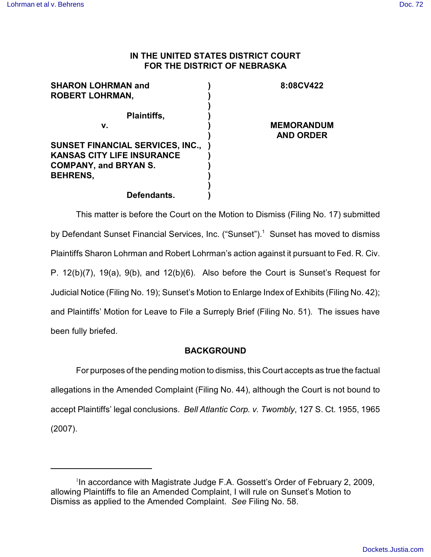# **IN THE UNITED STATES DISTRICT COURT FOR THE DISTRICT OF NEBRASKA**

| <b>SHARON LOHRMAN and</b>               | 8:08CV422         |
|-----------------------------------------|-------------------|
| <b>ROBERT LOHRMAN,</b>                  |                   |
|                                         |                   |
| Plaintiffs,                             |                   |
| v.                                      | <b>MEMORANDUM</b> |
|                                         | <b>AND ORDER</b>  |
| <b>SUNSET FINANCIAL SERVICES, INC.,</b> |                   |
| <b>KANSAS CITY LIFE INSURANCE</b>       |                   |
| <b>COMPANY, and BRYAN S.</b>            |                   |
| <b>BEHRENS,</b>                         |                   |
|                                         |                   |
| Defendants.                             |                   |

This matter is before the Court on the Motion to Dismiss (Filing No. 17) submitted by Defendant Sunset Financial Services, Inc. ("Sunset").<sup>1</sup> Sunset has moved to dismiss Plaintiffs Sharon Lohrman and Robert Lohrman's action against it pursuant to Fed. R. Civ. P. 12(b)(7), 19(a), 9(b), and 12(b)(6). Also before the Court is Sunset's Request for Judicial Notice (Filing No. 19); Sunset's Motion to Enlarge Index of Exhibits (Filing No. 42); and Plaintiffs' Motion for Leave to File a Surreply Brief (Filing No. 51). The issues have been fully briefed.

# **BACKGROUND**

For purposes of the pending motion to dismiss, this Court accepts as true the factual allegations in the Amended Complaint (Filing No. 44), although the Court is not bound to accept Plaintiffs' legal conclusions. *Bell Atlantic Corp. v. Twombly*, 127 S. Ct. 1955, 1965 (2007).

 $1$ In accordance with Magistrate Judge F.A. Gossett's Order of February 2, 2009, allowing Plaintiffs to file an Amended Complaint, I will rule on Sunset's Motion to Dismiss as applied to the Amended Complaint. *See* Filing No. 58.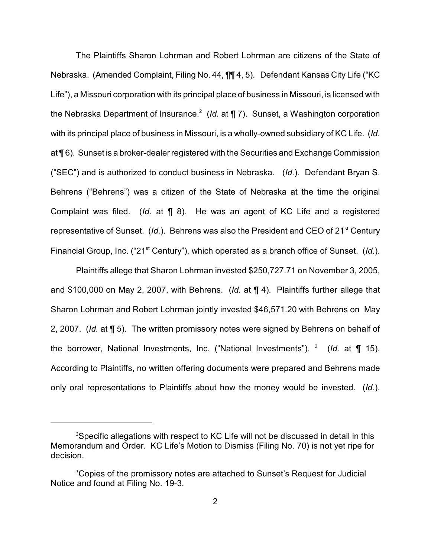The Plaintiffs Sharon Lohrman and Robert Lohrman are citizens of the State of Nebraska. (Amended Complaint, Filing No. 44, ¶¶ 4, 5). Defendant Kansas City Life ("KC Life"), a Missouri corporation with its principal place of business in Missouri, is licensed with the Nebraska Department of Insurance.<sup>2</sup> (*Id.* at ¶ 7). Sunset, a Washington corporation with its principal place of business in Missouri, is a wholly-owned subsidiary of KC Life. (*Id.* at ¶ 6). Sunset is a broker-dealer registered with the Securities and Exchange Commission ("SEC") and is authorized to conduct business in Nebraska. (*Id.*). Defendant Bryan S. Behrens ("Behrens") was a citizen of the State of Nebraska at the time the original Complaint was filed. (*Id.* at ¶ 8). He was an agent of KC Life and a registered representative of Sunset. (*Id.*). Behrens was also the President and CEO of 21<sup>st</sup> Century Financial Group, Inc. ("21<sup>st</sup> Century"), which operated as a branch office of Sunset. (*Id.*).

Plaintiffs allege that Sharon Lohrman invested \$250,727.71 on November 3, 2005, and \$100,000 on May 2, 2007, with Behrens. (*Id.* at ¶ 4). Plaintiffs further allege that Sharon Lohrman and Robert Lohrman jointly invested \$46,571.20 with Behrens on May 2, 2007. (*Id.* at ¶ 5). The written promissory notes were signed by Behrens on behalf of the borrower, National Investments, Inc. ("National Investments"). <sup>3</sup> (*Id.* at ¶ 15). According to Plaintiffs, no written offering documents were prepared and Behrens made only oral representations to Plaintiffs about how the money would be invested. (*Id.*).

 $2$ Specific allegations with respect to KC Life will not be discussed in detail in this Memorandum and Order. KC Life's Motion to Dismiss (Filing No. 70) is not yet ripe for decision.

<sup>&</sup>lt;sup>3</sup>Copies of the promissory notes are attached to Sunset's Request for Judicial Notice and found at Filing No. 19-3.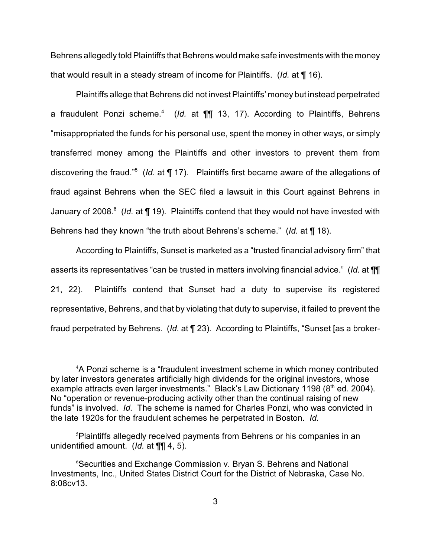Behrens allegedly told Plaintiffs that Behrens would make safe investments with the money that would result in a steady stream of income for Plaintiffs. (*Id.* at ¶ 16).

Plaintiffs allege that Behrens did not invest Plaintiffs' money but instead perpetrated a fraudulent Ponzi scheme.<sup>4</sup> (*Id.* at **[1]** 13, 17). According to Plaintiffs, Behrens "misappropriated the funds for his personal use, spent the money in other ways, or simply transferred money among the Plaintiffs and other investors to prevent them from discovering the fraud."<sup>5</sup> (*Id.* at ¶ 17). Plaintiffs first became aware of the allegations of fraud against Behrens when the SEC filed a lawsuit in this Court against Behrens in January of 2008.<sup>6</sup> (Id. at ¶ 19). Plaintiffs contend that they would not have invested with Behrens had they known "the truth about Behrens's scheme." (*Id.* at ¶ 18).

According to Plaintiffs, Sunset is marketed as a "trusted financial advisory firm" that asserts its representatives "can be trusted in matters involving financial advice." (*Id.* at ¶¶ 21, 22). Plaintiffs contend that Sunset had a duty to supervise its registered representative, Behrens, and that by violating that duty to supervise, it failed to prevent the fraud perpetrated by Behrens. (*Id.* at ¶ 23). According to Plaintiffs, "Sunset [as a broker-

<sup>&</sup>lt;sup>4</sup>A Ponzi scheme is a "fraudulent investment scheme in which money contributed by later investors generates artificially high dividends for the original investors, whose example attracts even larger investments." Black's Law Dictionary 1198 (8<sup>th</sup> ed. 2004). No "operation or revenue-producing activity other than the continual raising of new funds" is involved. *Id.* The scheme is named for Charles Ponzi, who was convicted in the late 1920s for the fraudulent schemes he perpetrated in Boston. *Id.*

<sup>&</sup>lt;sup>5</sup>Plaintiffs allegedly received payments from Behrens or his companies in an unidentified amount. (*Id.* at ¶¶ 4, 5).

Securities and Exchange Commission v. Bryan S. Behrens and National <sup>6</sup> Investments, Inc., United States District Court for the District of Nebraska, Case No. 8:08cv13.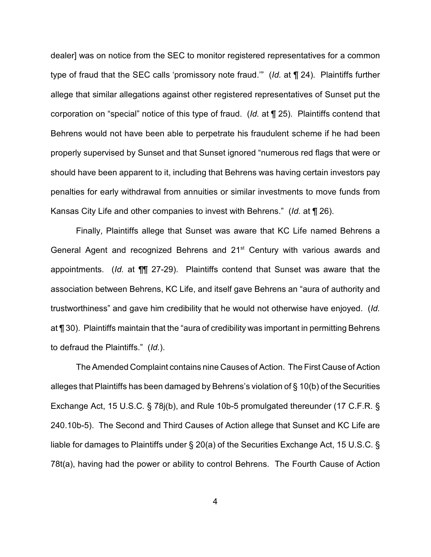dealer] was on notice from the SEC to monitor registered representatives for a common type of fraud that the SEC calls 'promissory note fraud.'" (*Id.* at ¶ 24). Plaintiffs further allege that similar allegations against other registered representatives of Sunset put the corporation on "special" notice of this type of fraud. (*Id.* at ¶ 25). Plaintiffs contend that Behrens would not have been able to perpetrate his fraudulent scheme if he had been properly supervised by Sunset and that Sunset ignored "numerous red flags that were or should have been apparent to it, including that Behrens was having certain investors pay penalties for early withdrawal from annuities or similar investments to move funds from Kansas City Life and other companies to invest with Behrens." (*Id.* at ¶ 26).

Finally, Plaintiffs allege that Sunset was aware that KC Life named Behrens a General Agent and recognized Behrens and  $21<sup>st</sup>$  Century with various awards and appointments. (*Id.* at ¶¶ 27-29). Plaintiffs contend that Sunset was aware that the association between Behrens, KC Life, and itself gave Behrens an "aura of authority and trustworthiness" and gave him credibility that he would not otherwise have enjoyed. (*Id.* at ¶ 30). Plaintiffs maintain that the "aura of credibility was important in permitting Behrens to defraud the Plaintiffs." (*Id.*).

The Amended Complaint contains nine Causes of Action. The First Cause of Action alleges that Plaintiffs has been damaged by Behrens's violation of § 10(b) of the Securities Exchange Act, 15 U.S.C. § 78j(b), and Rule 10b-5 promulgated thereunder (17 C.F.R. § 240.10b-5). The Second and Third Causes of Action allege that Sunset and KC Life are liable for damages to Plaintiffs under § 20(a) of the Securities Exchange Act, 15 U.S.C. § 78t(a), having had the power or ability to control Behrens. The Fourth Cause of Action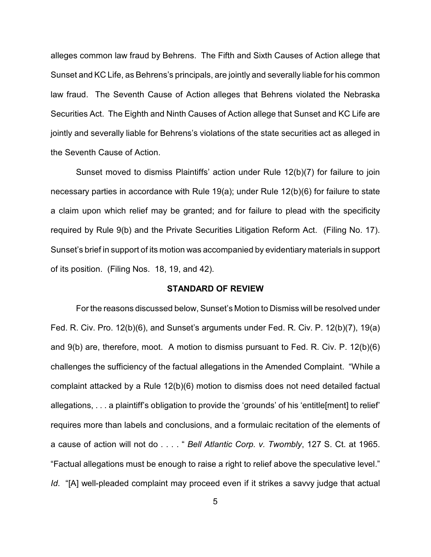alleges common law fraud by Behrens. The Fifth and Sixth Causes of Action allege that Sunset and KC Life, as Behrens's principals, are jointly and severally liable for his common law fraud. The Seventh Cause of Action alleges that Behrens violated the Nebraska Securities Act. The Eighth and Ninth Causes of Action allege that Sunset and KC Life are jointly and severally liable for Behrens's violations of the state securities act as alleged in the Seventh Cause of Action.

Sunset moved to dismiss Plaintiffs' action under Rule 12(b)(7) for failure to join necessary parties in accordance with Rule 19(a); under Rule 12(b)(6) for failure to state a claim upon which relief may be granted; and for failure to plead with the specificity required by Rule 9(b) and the Private Securities Litigation Reform Act. (Filing No. 17). Sunset's brief in support of its motion was accompanied by evidentiary materials in support of its position. (Filing Nos. 18, 19, and 42).

#### **STANDARD OF REVIEW**

For the reasons discussed below, Sunset's Motion to Dismiss will be resolved under Fed. R. Civ. Pro. 12(b)(6), and Sunset's arguments under Fed. R. Civ. P. 12(b)(7), 19(a) and 9(b) are, therefore, moot. A motion to dismiss pursuant to Fed. R. Civ. P. 12(b)(6) challenges the sufficiency of the factual allegations in the Amended Complaint. "While a complaint attacked by a Rule 12(b)(6) motion to dismiss does not need detailed factual allegations, . . . a plaintiff's obligation to provide the 'grounds' of his 'entitle[ment] to relief' requires more than labels and conclusions, and a formulaic recitation of the elements of a cause of action will not do . . . . " *Bell Atlantic Corp. v. Twombly*, 127 S. Ct. at 1965. "Factual allegations must be enough to raise a right to relief above the speculative level." *Id.* "[A] well-pleaded complaint may proceed even if it strikes a savvy judge that actual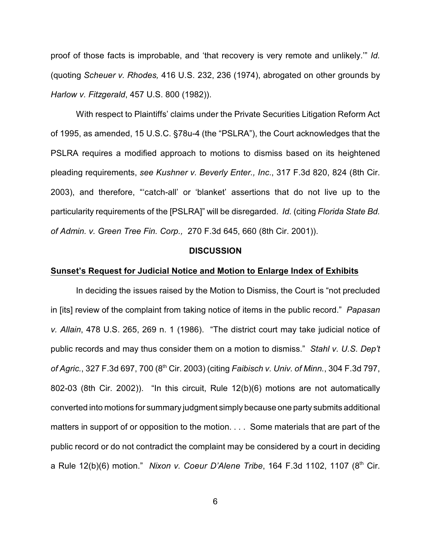proof of those facts is improbable, and 'that recovery is very remote and unlikely.'" *Id.* (quoting *Scheuer v. Rhodes,* 416 U.S. 232, 236 (1974), abrogated on other grounds by *Harlow v. Fitzgerald*, 457 U.S. 800 (1982)).

With respect to Plaintiffs' claims under the Private Securities Litigation Reform Act of 1995, as amended, 15 U.S.C. §78u-4 (the "PSLRA"), the Court acknowledges that the PSLRA requires a modified approach to motions to dismiss based on its heightened pleading requirements, *see Kushner v. Beverly Enter., Inc*., 317 F.3d 820, 824 (8th Cir. 2003), and therefore, "'catch-all' or 'blanket' assertions that do not live up to the particularity requirements of the [PSLRA]" will be disregarded. *Id.* (citing *Florida State Bd. of Admin. v. Green Tree Fin. Corp.,* 270 F.3d 645, 660 (8th Cir. 2001)).

#### **DISCUSSION**

### **Sunset's Request for Judicial Notice and Motion to Enlarge Index of Exhibits**

In deciding the issues raised by the Motion to Dismiss, the Court is "not precluded in [its] review of the complaint from taking notice of items in the public record." *Papasan v. Allain*, 478 U.S. 265, 269 n. 1 (1986). "The district court may take judicial notice of public records and may thus consider them on a motion to dismiss." *Stahl v. U.S. Dep't of Agric.*, 327 F.3d 697, 700 (8<sup>th</sup> Cir. 2003) (citing *Faibisch v. Univ. of Minn.*, 304 F.3d 797, 802-03 (8th Cir. 2002)). "In this circuit, Rule 12(b)(6) motions are not automatically converted into motions for summary judgment simply because one party submits additional matters in support of or opposition to the motion. . . . Some materials that are part of the public record or do not contradict the complaint may be considered by a court in deciding a Rule 12(b)(6) motion." Nixon v. Coeur D'Alene Tribe, 164 F.3d 1102, 1107 (8<sup>th</sup> Cir.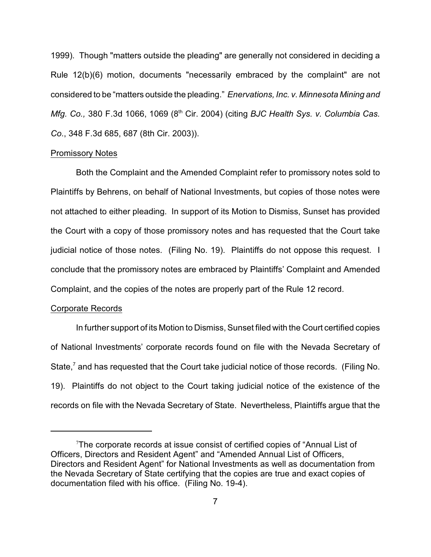1999). Though "matters outside the pleading" are generally not considered in deciding a Rule 12(b)(6) motion, documents "necessarily embraced by the complaint" are not considered to be "matters outside the pleading." *Enervations, Inc. v. Minnesota Mining and Mfg. Co., 380 F.3d 1066, 1069 (8<sup>th</sup> Cir. 2004) (citing BJC Health Sys. v. Columbia Cas. Co*., 348 F.3d 685, 687 (8th Cir. 2003)).

#### Promissory Notes

Both the Complaint and the Amended Complaint refer to promissory notes sold to Plaintiffs by Behrens, on behalf of National Investments, but copies of those notes were not attached to either pleading. In support of its Motion to Dismiss, Sunset has provided the Court with a copy of those promissory notes and has requested that the Court take judicial notice of those notes. (Filing No. 19). Plaintiffs do not oppose this request. I conclude that the promissory notes are embraced by Plaintiffs' Complaint and Amended Complaint, and the copies of the notes are properly part of the Rule 12 record.

#### Corporate Records

In further support of its Motion to Dismiss, Sunset filed with the Court certified copies of National Investments' corporate records found on file with the Nevada Secretary of State, $\alpha$  and has requested that the Court take judicial notice of those records. (Filing No. 19). Plaintiffs do not object to the Court taking judicial notice of the existence of the records on file with the Nevada Secretary of State. Nevertheless, Plaintiffs argue that the

The corporate records at issue consist of certified copies of "Annual List of Officers, Directors and Resident Agent" and "Amended Annual List of Officers, Directors and Resident Agent" for National Investments as well as documentation from the Nevada Secretary of State certifying that the copies are true and exact copies of documentation filed with his office. (Filing No. 19-4).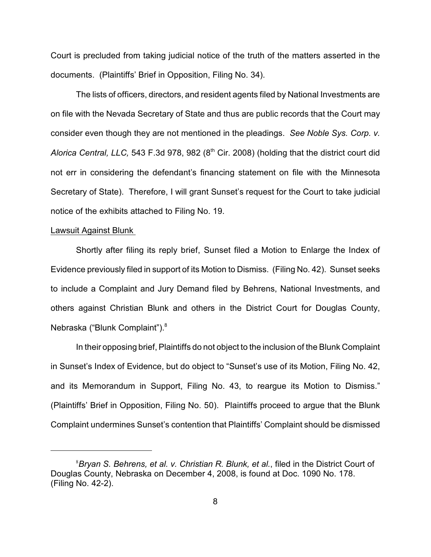Court is precluded from taking judicial notice of the truth of the matters asserted in the documents. (Plaintiffs' Brief in Opposition, Filing No. 34).

The lists of officers, directors, and resident agents filed by National Investments are on file with the Nevada Secretary of State and thus are public records that the Court may consider even though they are not mentioned in the pleadings. *See Noble Sys. Corp. v. Alorica Central, LLC, 543 F.3d 978, 982 (8<sup>th</sup> Cir. 2008) (holding that the district court did* not err in considering the defendant's financing statement on file with the Minnesota Secretary of State). Therefore, I will grant Sunset's request for the Court to take judicial notice of the exhibits attached to Filing No. 19.

## Lawsuit Against Blunk

Shortly after filing its reply brief, Sunset filed a Motion to Enlarge the Index of Evidence previously filed in support of its Motion to Dismiss. (Filing No. 42). Sunset seeks to include a Complaint and Jury Demand filed by Behrens, National Investments, and others against Christian Blunk and others in the District Court for Douglas County, Nebraska ("Blunk Complaint").<sup>8</sup>

In their opposing brief, Plaintiffs do not object to the inclusion of the Blunk Complaint in Sunset's Index of Evidence, but do object to "Sunset's use of its Motion, Filing No. 42, and its Memorandum in Support, Filing No. 43, to reargue its Motion to Dismiss." (Plaintiffs' Brief in Opposition, Filing No. 50). Plaintiffs proceed to argue that the Blunk Complaint undermines Sunset's contention that Plaintiffs' Complaint should be dismissed

<sup>&</sup>lt;sup>8</sup> Bryan S. Behrens, et al. v. Christian R. Blunk, et al., filed in the District Court of Douglas County, Nebraska on December 4, 2008, is found at Doc. 1090 No. 178. (Filing No. 42-2).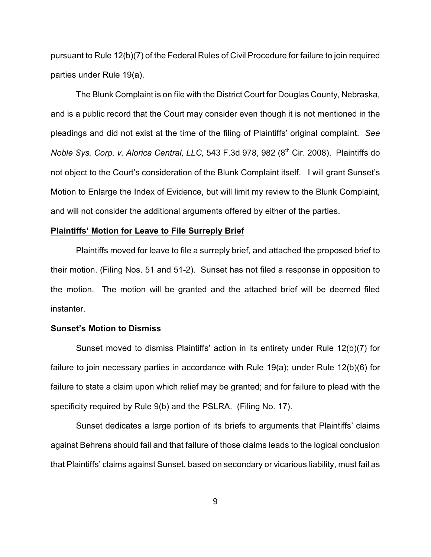pursuant to Rule 12(b)(7) of the Federal Rules of Civil Procedure for failure to join required parties under Rule 19(a).

The Blunk Complaint is on file with the District Court for Douglas County, Nebraska, and is a public record that the Court may consider even though it is not mentioned in the pleadings and did not exist at the time of the filing of Plaintiffs' original complaint. *See* Noble Sys. Corp. v. Alorica Central, LLC, 543 F.3d 978, 982 (8<sup>th</sup> Cir. 2008). Plaintiffs do not object to the Court's consideration of the Blunk Complaint itself. I will grant Sunset's Motion to Enlarge the Index of Evidence, but will limit my review to the Blunk Complaint, and will not consider the additional arguments offered by either of the parties.

#### **Plaintiffs' Motion for Leave to File Surreply Brief**

Plaintiffs moved for leave to file a surreply brief, and attached the proposed brief to their motion. (Filing Nos. 51 and 51-2). Sunset has not filed a response in opposition to the motion. The motion will be granted and the attached brief will be deemed filed instanter.

#### **Sunset's Motion to Dismiss**

Sunset moved to dismiss Plaintiffs' action in its entirety under Rule 12(b)(7) for failure to join necessary parties in accordance with Rule 19(a); under Rule 12(b)(6) for failure to state a claim upon which relief may be granted; and for failure to plead with the specificity required by Rule 9(b) and the PSLRA. (Filing No. 17).

Sunset dedicates a large portion of its briefs to arguments that Plaintiffs' claims against Behrens should fail and that failure of those claims leads to the logical conclusion that Plaintiffs' claims against Sunset, based on secondary or vicarious liability, must fail as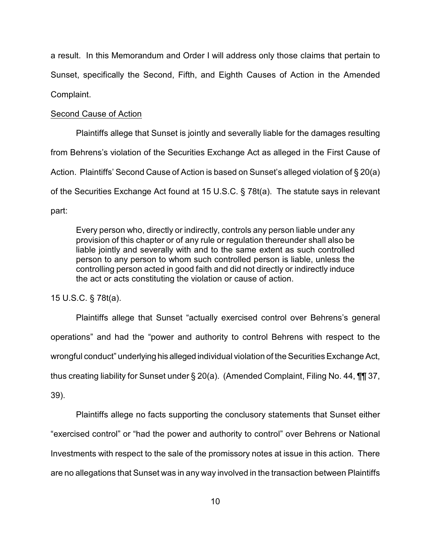a result. In this Memorandum and Order I will address only those claims that pertain to Sunset, specifically the Second, Fifth, and Eighth Causes of Action in the Amended Complaint.

### Second Cause of Action

Plaintiffs allege that Sunset is jointly and severally liable for the damages resulting from Behrens's violation of the Securities Exchange Act as alleged in the First Cause of Action. Plaintiffs' Second Cause of Action is based on Sunset's alleged violation of § 20(a) of the Securities Exchange Act found at 15 U.S.C. § 78t(a). The statute says in relevant part:

Every person who, directly or indirectly, controls any person liable under any provision of this chapter or of any rule or regulation thereunder shall also be liable jointly and severally with and to the same extent as such controlled person to any person to whom such controlled person is liable, unless the controlling person acted in good faith and did not directly or indirectly induce the act or acts constituting the violation or cause of action.

15 U.S.C. § 78t(a).

Plaintiffs allege that Sunset "actually exercised control over Behrens's general operations" and had the "power and authority to control Behrens with respect to the wrongful conduct" underlying his alleged individual violation of the Securities Exchange Act, thus creating liability for Sunset under § 20(a). (Amended Complaint, Filing No. 44, ¶¶ 37, 39).

Plaintiffs allege no facts supporting the conclusory statements that Sunset either "exercised control" or "had the power and authority to control" over Behrens or National Investments with respect to the sale of the promissory notes at issue in this action. There are no allegations that Sunset was in any way involved in the transaction between Plaintiffs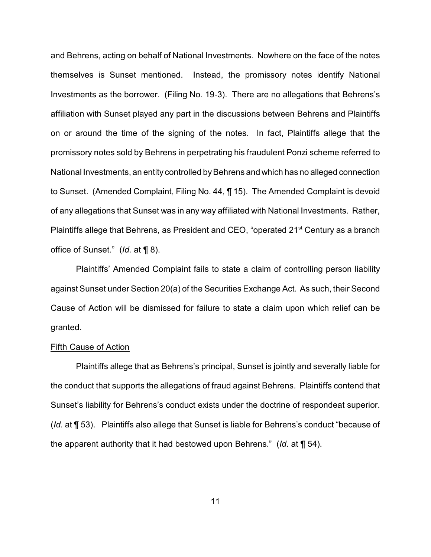and Behrens, acting on behalf of National Investments. Nowhere on the face of the notes themselves is Sunset mentioned. Instead, the promissory notes identify National Investments as the borrower. (Filing No. 19-3). There are no allegations that Behrens's affiliation with Sunset played any part in the discussions between Behrens and Plaintiffs on or around the time of the signing of the notes. In fact, Plaintiffs allege that the promissory notes sold by Behrens in perpetrating his fraudulent Ponzi scheme referred to National Investments, an entity controlled by Behrens and which has no alleged connection to Sunset. (Amended Complaint, Filing No. 44, ¶ 15). The Amended Complaint is devoid of any allegations that Sunset was in any way affiliated with National Investments. Rather, Plaintiffs allege that Behrens, as President and CEO, "operated 21<sup>st</sup> Century as a branch office of Sunset." (*Id.* at ¶ 8).

Plaintiffs' Amended Complaint fails to state a claim of controlling person liability against Sunset under Section 20(a) of the Securities Exchange Act. As such, their Second Cause of Action will be dismissed for failure to state a claim upon which relief can be granted.

## Fifth Cause of Action

Plaintiffs allege that as Behrens's principal, Sunset is jointly and severally liable for the conduct that supports the allegations of fraud against Behrens. Plaintiffs contend that Sunset's liability for Behrens's conduct exists under the doctrine of respondeat superior. (*Id.* at ¶ 53). Plaintiffs also allege that Sunset is liable for Behrens's conduct "because of the apparent authority that it had bestowed upon Behrens." (*Id.* at ¶ 54).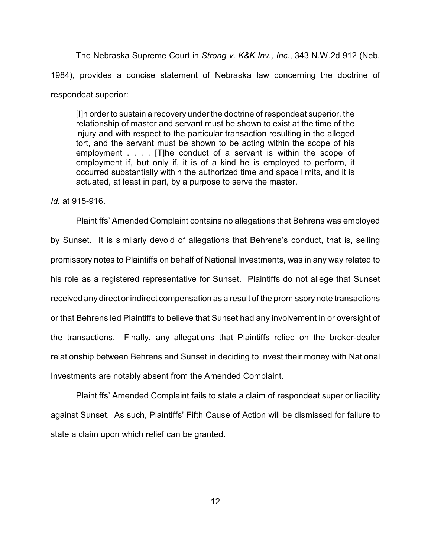The Nebraska Supreme Court in *Strong v. K&K Inv., Inc*., 343 N.W.2d 912 (Neb. 1984), provides a concise statement of Nebraska law concerning the doctrine of respondeat superior:

[I]n order to sustain a recovery underthe doctrine of respondeat superior, the relationship of master and servant must be shown to exist at the time of the injury and with respect to the particular transaction resulting in the alleged tort, and the servant must be shown to be acting within the scope of his employment . . . . [T]he conduct of a servant is within the scope of employment if, but only if, it is of a kind he is employed to perform, it occurred substantially within the authorized time and space limits, and it is actuated, at least in part, by a purpose to serve the master.

*Id.* at 915-916.

Plaintiffs' Amended Complaint contains no allegations that Behrens was employed by Sunset. It is similarly devoid of allegations that Behrens's conduct, that is, selling promissory notes to Plaintiffs on behalf of National Investments, was in any way related to his role as a registered representative for Sunset. Plaintiffs do not allege that Sunset received any direct or indirect compensation as a result of the promissory note transactions or that Behrens led Plaintiffs to believe that Sunset had any involvement in or oversight of the transactions. Finally, any allegations that Plaintiffs relied on the broker-dealer relationship between Behrens and Sunset in deciding to invest their money with National Investments are notably absent from the Amended Complaint.

Plaintiffs' Amended Complaint fails to state a claim of respondeat superior liability against Sunset. As such, Plaintiffs' Fifth Cause of Action will be dismissed for failure to state a claim upon which relief can be granted.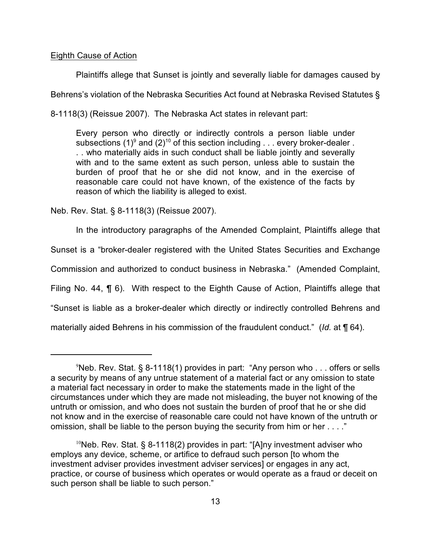## Eighth Cause of Action

Plaintiffs allege that Sunset is jointly and severally liable for damages caused by Behrens's violation of the Nebraska Securities Act found at Nebraska Revised Statutes § 8-1118(3) (Reissue 2007). The Nebraska Act states in relevant part:

Every person who directly or indirectly controls a person liable under subsections (1)<sup>9</sup> and (2)<sup>10</sup> of this section including  $\ldots$  every broker-dealer. . . who materially aids in such conduct shall be liable jointly and severally with and to the same extent as such person, unless able to sustain the burden of proof that he or she did not know, and in the exercise of reasonable care could not have known, of the existence of the facts by reason of which the liability is alleged to exist.

Neb. Rev. Stat. § 8-1118(3) (Reissue 2007).

In the introductory paragraphs of the Amended Complaint, Plaintiffs allege that Sunset is a "broker-dealer registered with the United States Securities and Exchange Commission and authorized to conduct business in Nebraska." (Amended Complaint, Filing No. 44, ¶ 6). With respect to the Eighth Cause of Action, Plaintiffs allege that "Sunset is liable as a broker-dealer which directly or indirectly controlled Behrens and materially aided Behrens in his commission of the fraudulent conduct." (*Id.* at ¶ 64).

 $9$ Neb. Rev. Stat. § 8-1118(1) provides in part: "Any person who . . . offers or sells a security by means of any untrue statement of a material fact or any omission to state a material fact necessary in order to make the statements made in the light of the circumstances under which they are made not misleading, the buyer not knowing of the untruth or omission, and who does not sustain the burden of proof that he or she did not know and in the exercise of reasonable care could not have known of the untruth or omission, shall be liable to the person buying the security from him or her . . . ."

<sup>&</sup>lt;sup>10</sup>Neb. Rev. Stat. § 8-1118(2) provides in part: "[A]ny investment adviser who employs any device, scheme, or artifice to defraud such person [to whom the investment adviser provides investment adviser services] or engages in any act, practice, or course of business which operates or would operate as a fraud or deceit on such person shall be liable to such person."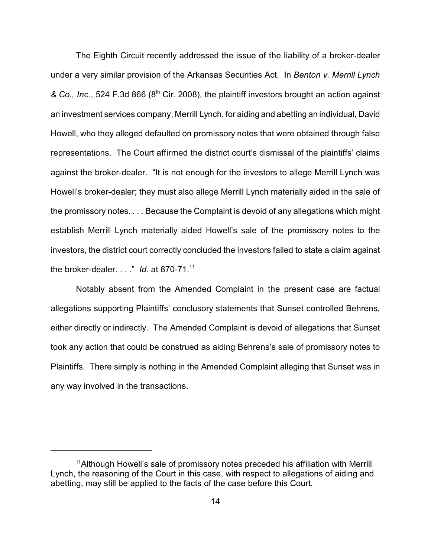The Eighth Circuit recently addressed the issue of the liability of a broker-dealer under a very similar provision of the Arkansas Securities Act. In *Benton v. Merrill Lynch* & Co., Inc., 524 F.3d 866 (8<sup>th</sup> Cir. 2008), the plaintiff investors brought an action against an investment services company, Merrill Lynch, for aiding and abetting an individual, David Howell, who they alleged defaulted on promissory notes that were obtained through false representations. The Court affirmed the district court's dismissal of the plaintiffs' claims against the broker-dealer. "It is not enough for the investors to allege Merrill Lynch was Howell's broker-dealer; they must also allege Merrill Lynch materially aided in the sale of the promissory notes. . . . Because the Complaint is devoid of any allegations which might establish Merrill Lynch materially aided Howell's sale of the promissory notes to the investors, the district court correctly concluded the investors failed to state a claim against the broker-dealer. . . ." *Id.* at 870-71.<sup>11</sup>

Notably absent from the Amended Complaint in the present case are factual allegations supporting Plaintiffs' conclusory statements that Sunset controlled Behrens, either directly or indirectly. The Amended Complaint is devoid of allegations that Sunset took any action that could be construed as aiding Behrens's sale of promissory notes to Plaintiffs. There simply is nothing in the Amended Complaint alleging that Sunset was in any way involved in the transactions.

 $11$ Although Howell's sale of promissory notes preceded his affiliation with Merrill Lynch, the reasoning of the Court in this case, with respect to allegations of aiding and abetting, may still be applied to the facts of the case before this Court.